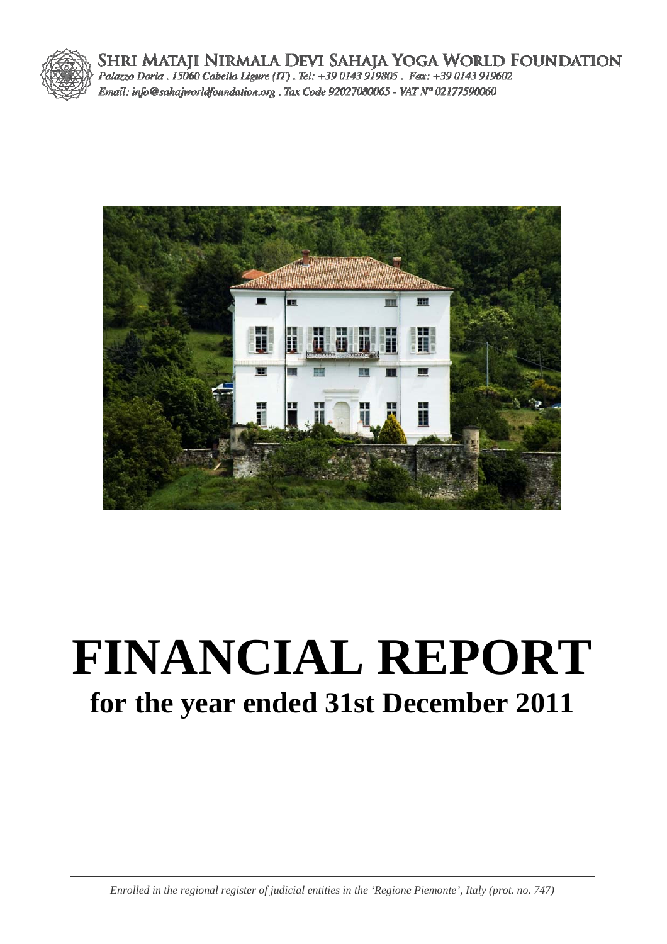

SHRI MATAJI NIRMALA DEVI SAHAJA YOGA WORLD FOUNDATION<br>Palazzo Doria . 15060 Cabella Ligure (IT) . Tel: +39 0143 919805 . Fax: +39 0143 919602 Email: info@sahajworldfoundation.org . Tax Code 92027080065 - VAT N° 02177590060



# **FINANCIAL REPORT for the year ended 31st December 2011**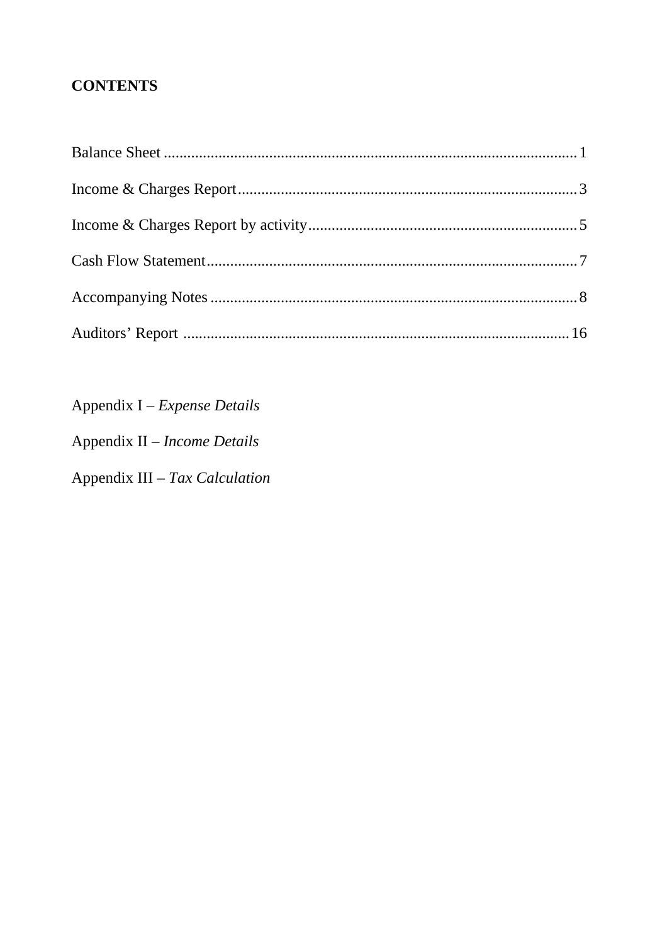## **CONTENTS**

Appendix I - Expense Details

Appendix II - Income Details

Appendix III - Tax Calculation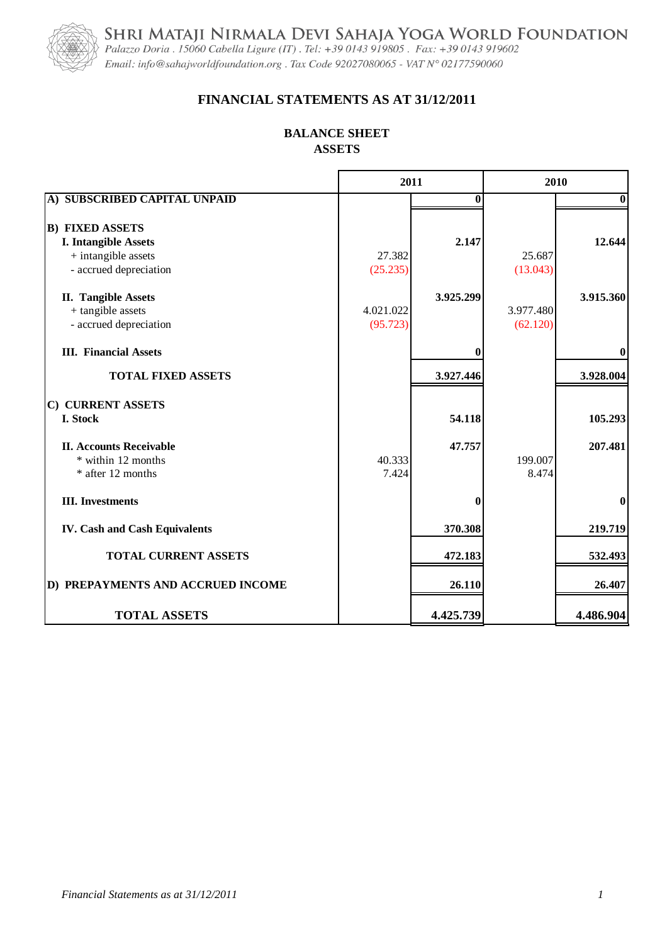SHRI MATAJI NIRMALA DEVI SAHAJA YOGA WORLD FOUNDATION<br>Palazzo Doria . 15060 Cabella Ligure (IT) . Tel: +39 0143 919805 . Fax: +39 0143 919602



Email: info@sahajworldfoundation.org. Tax Code 92027080065 - VAT N° 02177590060

## **FINANCIAL STATEMENTS AS AT 31/12/2011**

#### **BALANCE SHEET ASSETS**

|                                                                              | 2011                  |              | 2010                  |              |  |
|------------------------------------------------------------------------------|-----------------------|--------------|-----------------------|--------------|--|
| A) SUBSCRIBED CAPITAL UNPAID                                                 |                       | $\mathbf{0}$ |                       | $\mathbf{0}$ |  |
| <b>B) FIXED ASSETS</b><br><b>I. Intangible Assets</b><br>+ intangible assets | 27.382                | 2.147        | 25.687                | 12.644       |  |
| - accrued depreciation                                                       | (25.235)              |              | (13.043)              |              |  |
| <b>II. Tangible Assets</b><br>+ tangible assets<br>- accrued depreciation    | 4.021.022<br>(95.723) | 3.925.299    | 3.977.480<br>(62.120) | 3.915.360    |  |
| <b>III.</b> Financial Assets                                                 |                       | 0            |                       | $\bf{0}$     |  |
| <b>TOTAL FIXED ASSETS</b>                                                    |                       | 3.927.446    |                       | 3.928.004    |  |
| C) CURRENT ASSETS<br>I. Stock                                                |                       | 54.118       |                       | 105.293      |  |
| <b>II. Accounts Receivable</b><br>* within 12 months<br>* after 12 months    | 40.333<br>7.424       | 47.757       | 199.007<br>8.474      | 207.481      |  |
| <b>III.</b> Investments                                                      |                       | $\bf{0}$     |                       | $\mathbf 0$  |  |
| <b>IV. Cash and Cash Equivalents</b>                                         |                       | 370.308      |                       | 219.719      |  |
| <b>TOTAL CURRENT ASSETS</b>                                                  |                       | 472.183      |                       | 532.493      |  |
| D) PREPAYMENTS AND ACCRUED INCOME                                            |                       | 26.110       |                       | 26.407       |  |
| <b>TOTAL ASSETS</b>                                                          |                       | 4.425.739    |                       | 4.486.904    |  |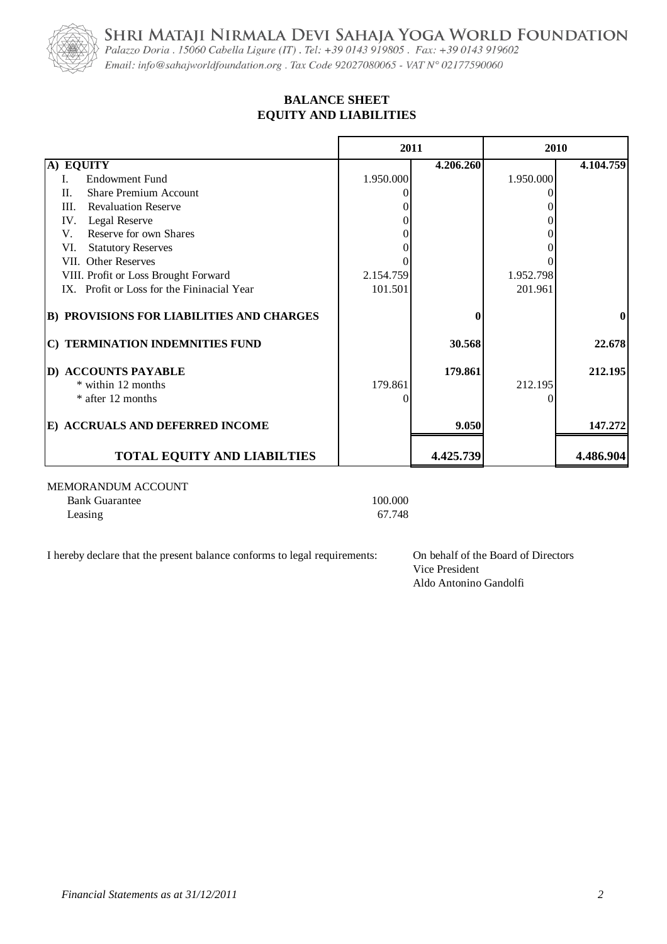SHRI MATAJI NIRMALA DEVI SAHAJA YOGA WORLD FOUNDATION<br>Palazzo Doria . 15060 Cabella Ligure (IT) . Tel: +39 0143 919805 . Fax: +39 0143 919602



Email: info@sahajworldfoundation.org. Tax Code 92027080065 - VAT N° 02177590060

#### **EQUITY AND LIABILITIES BALANCE SHEET**

|                                                  | 2011      |           | 2010      |              |
|--------------------------------------------------|-----------|-----------|-----------|--------------|
| A) EQUITY                                        |           | 4.206.260 |           | 4.104.759    |
| <b>Endowment Fund</b><br>L.                      | 1.950.000 |           | 1.950.000 |              |
| <b>Share Premium Account</b><br>$\Pi$ .          |           |           |           |              |
| <b>Revaluation Reserve</b><br>III.               |           |           |           |              |
| IV.<br>Legal Reserve                             |           |           |           |              |
| Reserve for own Shares<br>V.                     |           |           |           |              |
| VI.<br><b>Statutory Reserves</b>                 |           |           |           |              |
| VII. Other Reserves                              |           |           |           |              |
| VIII. Profit or Loss Brought Forward             | 2.154.759 |           | 1.952.798 |              |
| IX. Profit or Loss for the Fininacial Year       | 101.501   |           | 201.961   |              |
| <b>B) PROVISIONS FOR LIABILITIES AND CHARGES</b> |           |           |           | $\mathbf{0}$ |
| C) TERMINATION INDEMNITIES FUND                  |           | 30.568    |           | 22.678       |
| D) ACCOUNTS PAYABLE                              |           | 179.861   |           | 212.195      |
| * within 12 months                               | 179.861   |           | 212.195   |              |
| * after 12 months                                | ∩         |           |           |              |
| E) ACCRUALS AND DEFERRED INCOME                  |           | 9.050     |           | 147.272      |
| <b>TOTAL EQUITY AND LIABILTIES</b>               |           | 4.425.739 |           | 4.486.904    |
| MEMORANDUM ACCOUNT<br><b>Bank Guarantee</b>      | 100.000   |           |           |              |

Leasing 67.748

I hereby declare that the present balance conforms to legal requirements: On behalf of the Board of Directors

Vice President Aldo Antonino Gandolfi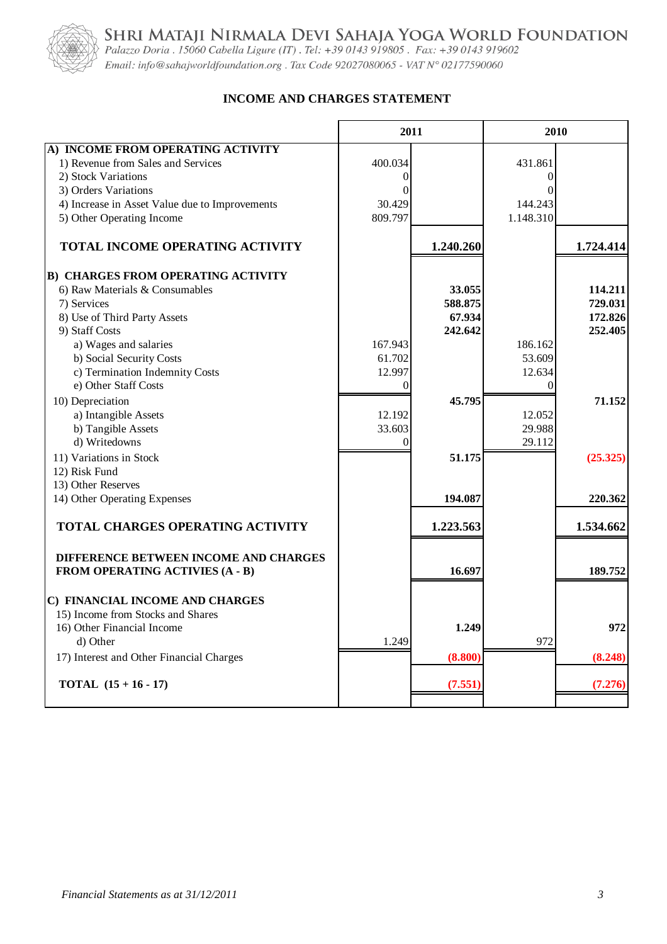

SHRI MATAJI NIRMALA DEVI SAHAJA YOGA WORLD FOUNDATION<br>Palazzo Doria . 15060 Cabella Ligure (IT) . Tel: +39 0143 919805 . Fax: +39 0143 919602

Email: info@sahajworldfoundation.org. Tax Code 92027080065 - VAT N° 02177590060

#### **INCOME AND CHARGES STATEMENT**  $\blacksquare$

|                                                | 2011     |           | 2010      |           |
|------------------------------------------------|----------|-----------|-----------|-----------|
| A) INCOME FROM OPERATING ACTIVITY              |          |           |           |           |
| 1) Revenue from Sales and Services             | 400.034  |           | 431.861   |           |
| 2) Stock Variations                            | $\Omega$ |           | $\theta$  |           |
| 3) Orders Variations                           | $\Omega$ |           | 0         |           |
| 4) Increase in Asset Value due to Improvements | 30.429   |           | 144.243   |           |
| 5) Other Operating Income                      | 809.797  |           | 1.148.310 |           |
|                                                |          |           |           |           |
| TOTAL INCOME OPERATING ACTIVITY                |          | 1.240.260 |           | 1.724.414 |
| <b>B) CHARGES FROM OPERATING ACTIVITY</b>      |          |           |           |           |
| 6) Raw Materials & Consumables                 |          | 33.055    |           | 114.211   |
| 7) Services                                    |          | 588.875   |           | 729.031   |
| 8) Use of Third Party Assets                   |          | 67.934    |           | 172.826   |
| 9) Staff Costs                                 |          | 242.642   |           | 252,405   |
| a) Wages and salaries                          | 167.943  |           | 186.162   |           |
| b) Social Security Costs                       | 61.702   |           | 53.609    |           |
| c) Termination Indemnity Costs                 | 12.997   |           | 12.634    |           |
| e) Other Staff Costs                           | 0        |           | $\theta$  |           |
| 10) Depreciation                               |          | 45.795    |           | 71.152    |
| a) Intangible Assets                           | 12.192   |           | 12.052    |           |
| b) Tangible Assets                             | 33.603   |           | 29.988    |           |
| d) Writedowns                                  | $\theta$ |           | 29.112    |           |
| 11) Variations in Stock                        |          | 51.175    |           | (25.325)  |
| 12) Risk Fund                                  |          |           |           |           |
| 13) Other Reserves                             |          |           |           |           |
| 14) Other Operating Expenses                   |          | 194.087   |           | 220.362   |
| TOTAL CHARGES OPERATING ACTIVITY               |          | 1.223.563 |           | 1.534.662 |
|                                                |          |           |           |           |
| DIFFERENCE BETWEEN INCOME AND CHARGES          |          |           |           |           |
| FROM OPERATING ACTIVIES (A - B)                |          | 16.697    |           | 189.752   |
| C) FINANCIAL INCOME AND CHARGES                |          |           |           |           |
| 15) Income from Stocks and Shares              |          |           |           |           |
| 16) Other Financial Income                     |          | 1.249     |           | 972       |
| d) Other                                       | 1.249    |           | 972       |           |
| 17) Interest and Other Financial Charges       |          | (8.800)   |           | (8.248)   |
| <b>TOTAL</b> $(15 + 16 - 17)$                  |          | (7.551)   |           | (7.276)   |
|                                                |          |           |           |           |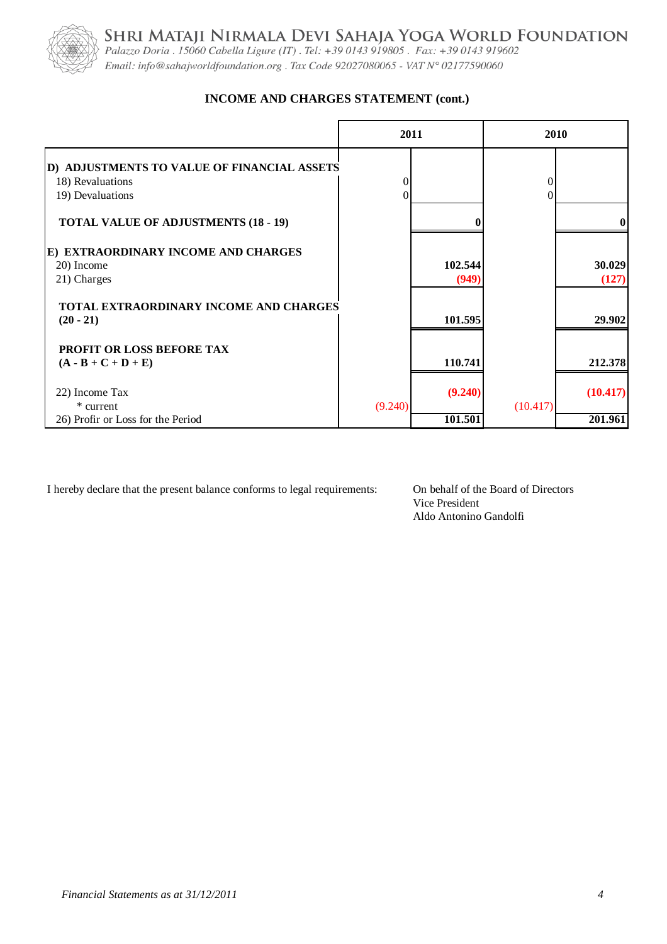

SHRI MATAJI NIRMALA DEVI SAHAJA YOGA WORLD FOUNDATION<br>Palazzo Doria . 15060 Cabella Ligure (IT) . Tel: +39 0143 919805 . Fax: +39 0143 919602 Email: info@sahajworldfoundation.org. Tax Code 92027080065 - VAT N° 02177590060

#### **INCOME AND CHARGES STATEMENT (cont.)**

|                                                                                                     | 2011                |                  |          | 2010            |
|-----------------------------------------------------------------------------------------------------|---------------------|------------------|----------|-----------------|
| D) ADJUSTMENTS TO VALUE OF FINANCIAL ASSETS<br>18) Revaluations<br>19) Devaluations                 | $\overline{0}$<br>0 |                  | 0        |                 |
| <b>TOTAL VALUE OF ADJUSTMENTS (18 - 19)</b>                                                         |                     |                  |          |                 |
| E) EXTRAORDINARY INCOME AND CHARGES<br>20) Income<br>21) Charges                                    |                     | 102.544<br>(949) |          | 30.029<br>(127) |
| TOTAL EXTRAORDINARY INCOME AND CHARGES<br>$(20 - 21)$                                               |                     | 101.595          |          | 29.902          |
| PROFIT OR LOSS BEFORE TAX<br>$(\mathbf{A} \cdot \mathbf{B} + \mathbf{C} + \mathbf{D} + \mathbf{E})$ |                     | 110.741          |          | 212.378         |
| 22) Income Tax<br>* current                                                                         | (9.240)             | (9.240)          | (10.417) | (10.417)        |
| 26) Profir or Loss for the Period                                                                   |                     | 101.501          |          | 201.961         |

I hereby declare that the present balance conforms to legal requirements: On behalf of the Board of Directors

Vice President Aldo Antonino Gandolfi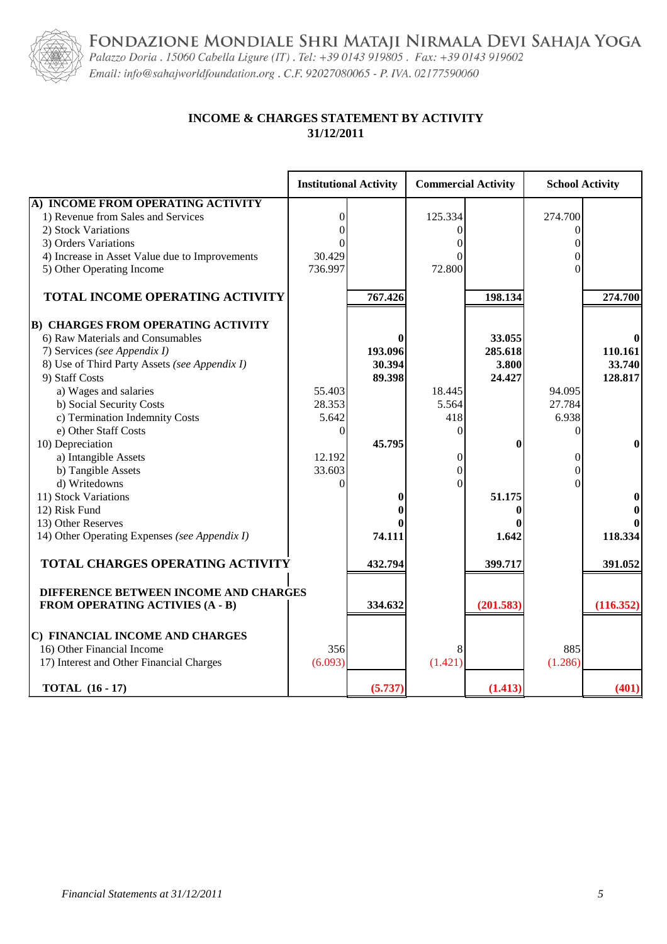FONDAZIONE MONDIALE SHRI MATAJI NIRMALA DEVI SAHAJA YOGA



Palazzo Doria . 15060 Cabella Ligure (IT) . Tel: +39 0143 919805 . Fax: +39 0143 919602 Email: info@sahajworldfoundation.org . C.F. 92027080065 - P. IVA. 02177590060

#### **INCOME & CHARGES STATEMENT BY ACTIVITY 31/12/2011**

|                                                | <b>Institutional Activity</b> |         | <b>Commercial Activity</b> |           | <b>School Activity</b> |           |
|------------------------------------------------|-------------------------------|---------|----------------------------|-----------|------------------------|-----------|
| A) INCOME FROM OPERATING ACTIVITY              |                               |         |                            |           |                        |           |
| 1) Revenue from Sales and Services             | $\theta$                      |         | 125.334                    |           | 274.700                |           |
| 2) Stock Variations                            | 0                             |         |                            |           |                        |           |
| 3) Orders Variations                           |                               |         |                            |           |                        |           |
| 4) Increase in Asset Value due to Improvements | 30.429                        |         |                            |           | 0                      |           |
| 5) Other Operating Income                      | 736.997                       |         | 72.800                     |           | 0                      |           |
| TOTAL INCOME OPERATING ACTIVITY                |                               | 767.426 |                            | 198.134   |                        | 274.700   |
| <b>B) CHARGES FROM OPERATING ACTIVITY</b>      |                               |         |                            |           |                        |           |
| 6) Raw Materials and Consumables               |                               |         |                            | 33.055    |                        |           |
| 7) Services (see Appendix I)                   |                               | 193.096 |                            | 285.618   |                        | 110.161   |
| 8) Use of Third Party Assets (see Appendix I)  |                               | 30.394  |                            | 3.800     |                        | 33.740    |
| 9) Staff Costs                                 |                               | 89.398  |                            | 24.427    |                        | 128.817   |
| a) Wages and salaries                          | 55.403                        |         | 18.445                     |           | 94.095                 |           |
| b) Social Security Costs                       | 28.353                        |         | 5.564                      |           | 27.784                 |           |
| c) Termination Indemnity Costs                 | 5.642                         |         | 418                        |           | 6.938                  |           |
| e) Other Staff Costs                           | $\overline{0}$                |         | 0                          |           | 0                      |           |
| 10) Depreciation                               |                               | 45.795  |                            | 0         |                        | $\bf{0}$  |
| a) Intangible Assets                           | 12.192                        |         | 0                          |           | 0                      |           |
| b) Tangible Assets                             | 33.603                        |         | $\theta$                   |           | $\Omega$               |           |
| d) Writedowns                                  | 0                             |         | $\Omega$                   |           |                        |           |
| 11) Stock Variations                           |                               |         |                            | 51.175    |                        |           |
| 12) Risk Fund                                  |                               |         |                            |           |                        | 0         |
| 13) Other Reserves                             |                               |         |                            |           |                        |           |
| 14) Other Operating Expenses (see Appendix I)  |                               | 74.111  |                            | 1.642     |                        | 118.334   |
| <b>TOTAL CHARGES OPERATING ACTIVITY</b>        |                               | 432.794 |                            | 399.717   |                        | 391.052   |
| DIFFERENCE BETWEEN INCOME AND CHARGES          |                               |         |                            |           |                        |           |
| <b>FROM OPERATING ACTIVIES (A - B)</b>         |                               | 334.632 |                            | (201.583) |                        | (116.352) |
| C) FINANCIAL INCOME AND CHARGES                |                               |         |                            |           |                        |           |
| 16) Other Financial Income                     | 356                           |         |                            |           | 885                    |           |
| 17) Interest and Other Financial Charges       | (6.093)                       |         | (1.421)                    |           | (1.286)                |           |
| <b>TOTAL</b> (16 - 17)                         |                               | (5.737) |                            | (1.413)   |                        | (401)     |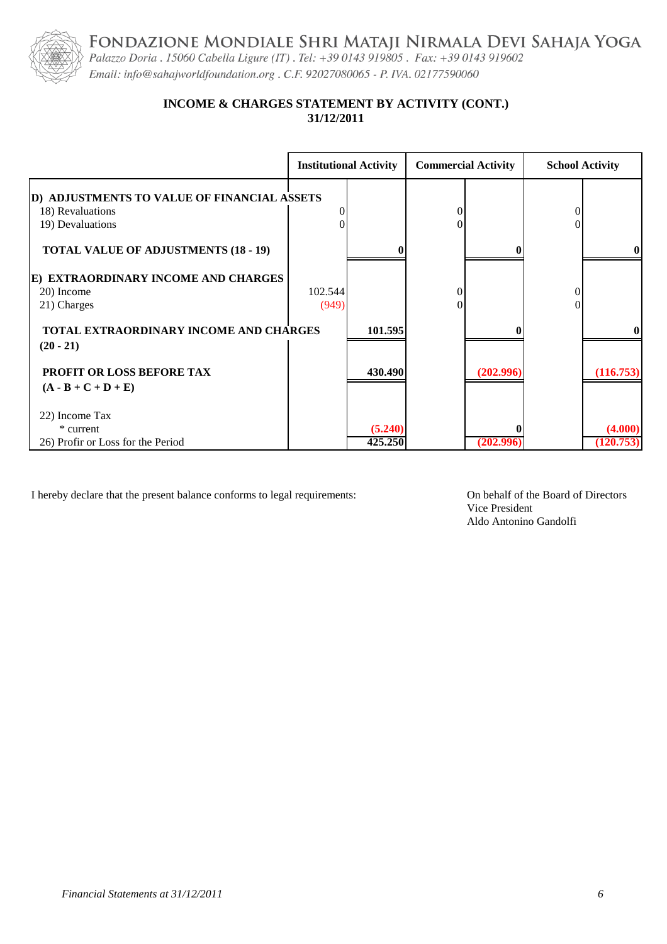FONDAZIONE MONDIALE SHRI MATAJI NIRMALA DEVI SAHAJA YOGA Palazzo Doria . 15060 Cabella Ligure (IT) . Tel: +39 0143 919805 . Fax: +39 0143 919602



Email: info@sahajworldfoundation.org . C.F. 92027080065 - P. IVA. 02177590060

#### **31/12/2011 INCOME & CHARGES STATEMENT BY ACTIVITY (CONT.)**

|                                                                                                                    |                  | <b>Institutional Activity</b> | <b>Commercial Activity</b> |           | <b>School Activity</b> |                      |
|--------------------------------------------------------------------------------------------------------------------|------------------|-------------------------------|----------------------------|-----------|------------------------|----------------------|
| D) ADJUSTMENTS TO VALUE OF FINANCIAL ASSETS<br>18) Revaluations<br>19) Devaluations                                |                  |                               | $\theta$<br>0              |           |                        |                      |
| <b>TOTAL VALUE OF ADJUSTMENTS (18 - 19)</b>                                                                        |                  |                               |                            |           |                        | $\bf{0}$             |
| E) EXTRAORDINARY INCOME AND CHARGES<br>20) Income<br>21) Charges                                                   | 102.544<br>(949) |                               | $\theta$                   |           |                        |                      |
| TOTAL EXTRAORDINARY INCOME AND CHARGES                                                                             |                  | 101.595                       |                            |           |                        | $\mathbf{0}$         |
| $(20 - 21)$<br>PROFIT OR LOSS BEFORE TAX<br>$(\mathbf{A} \cdot \mathbf{B} + \mathbf{C} + \mathbf{D} + \mathbf{E})$ |                  | 430.490                       |                            | (202.996) |                        | (116.753)            |
| 22) Income Tax<br>* current<br>26) Profir or Loss for the Period                                                   |                  | (5.240)<br>425.250            |                            | (202.996) |                        | (4.000)<br>(120.753) |

I hereby declare that the present balance conforms to legal requirements: On behalf of the Board of Directors

Vice President Aldo Antonino Gandolfi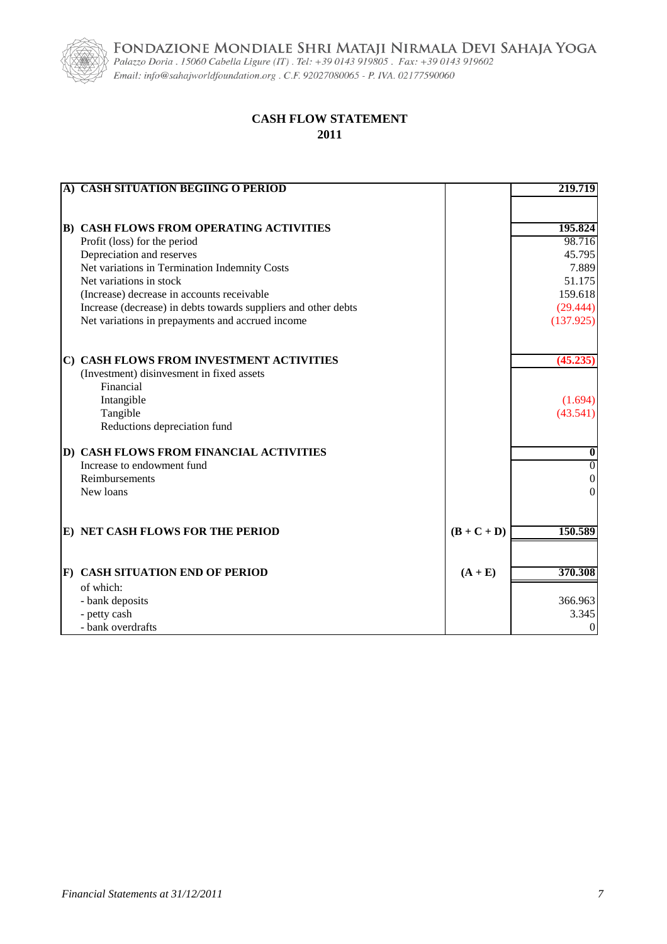FONDAZIONE MONDIALE SHRI MATAJI NIRMALA DEVI SAHAJA YOGA Palazzo Doria . 15060 Cabella Ligure (IT) . Tel: +39 0143 919805 . Fax: +39 0143 919602



Email: info@sahajworldfoundation.org . C.F. 92027080065 - P. IVA. 02177590060

#### **CASH FLOW STATEMENT 2011**

| A) CASH SITUATION BEGIING O PERIOD                             |               | 219.719          |
|----------------------------------------------------------------|---------------|------------------|
|                                                                |               |                  |
|                                                                |               |                  |
| <b>B) CASH FLOWS FROM OPERATING ACTIVITIES</b>                 |               | 195.824          |
| Profit (loss) for the period                                   |               | 98.716           |
| Depreciation and reserves                                      |               | 45.795           |
| Net variations in Termination Indemnity Costs                  |               | 7.889            |
| Net variations in stock                                        |               | 51.175           |
| (Increase) decrease in accounts receivable                     |               | 159.618          |
| Increase (decrease) in debts towards suppliers and other debts |               | (29.444)         |
| Net variations in prepayments and accrued income               |               | (137.925)        |
|                                                                |               |                  |
| C) CASH FLOWS FROM INVESTMENT ACTIVITIES                       |               | (45.235)         |
| (Investment) disinvesment in fixed assets                      |               |                  |
| Financial                                                      |               |                  |
| Intangible                                                     |               | (1.694)          |
| Tangible                                                       |               | (43.541)         |
| Reductions depreciation fund                                   |               |                  |
| D) CASH FLOWS FROM FINANCIAL ACTIVITIES                        |               | 0                |
| Increase to endowment fund                                     |               | $\overline{0}$   |
| Reimbursements                                                 |               | 0                |
| New loans                                                      |               | 0                |
|                                                                |               |                  |
|                                                                |               |                  |
| E) NET CASH FLOWS FOR THE PERIOD                               | $(B + C + D)$ | 150.589          |
|                                                                |               |                  |
| F) CASH SITUATION END OF PERIOD                                | $(A + E)$     | 370.308          |
| of which:                                                      |               |                  |
| - bank deposits                                                |               | 366.963          |
| - petty cash                                                   |               | 3.345            |
| - bank overdrafts                                              |               | $\boldsymbol{0}$ |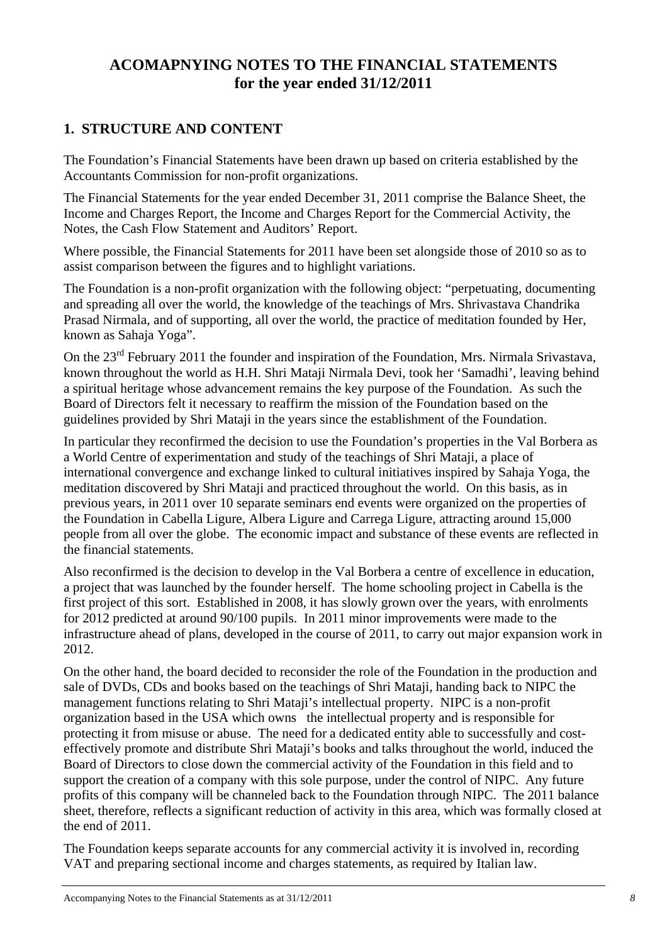## **ACOMAPNYING NOTES TO THE FINANCIAL STATEMENTS for the year ended 31/12/2011**

## **1. STRUCTURE AND CONTENT**

The Foundation's Financial Statements have been drawn up based on criteria established by the Accountants Commission for non-profit organizations.

The Financial Statements for the year ended December 31, 2011 comprise the Balance Sheet, the Income and Charges Report, the Income and Charges Report for the Commercial Activity, the Notes, the Cash Flow Statement and Auditors' Report.

Where possible, the Financial Statements for 2011 have been set alongside those of 2010 so as to assist comparison between the figures and to highlight variations.

The Foundation is a non-profit organization with the following object: "perpetuating, documenting and spreading all over the world, the knowledge of the teachings of Mrs. Shrivastava Chandrika Prasad Nirmala, and of supporting, all over the world, the practice of meditation founded by Her, known as Sahaja Yoga".

On the 23<sup>rd</sup> February 2011 the founder and inspiration of the Foundation, Mrs. Nirmala Srivastava, known throughout the world as H.H. Shri Mataji Nirmala Devi, took her 'Samadhi', leaving behind a spiritual heritage whose advancement remains the key purpose of the Foundation. As such the Board of Directors felt it necessary to reaffirm the mission of the Foundation based on the guidelines provided by Shri Mataji in the years since the establishment of the Foundation.

In particular they reconfirmed the decision to use the Foundation's properties in the Val Borbera as a World Centre of experimentation and study of the teachings of Shri Mataji, a place of international convergence and exchange linked to cultural initiatives inspired by Sahaja Yoga, the meditation discovered by Shri Mataji and practiced throughout the world. On this basis, as in previous years, in 2011 over 10 separate seminars end events were organized on the properties of the Foundation in Cabella Ligure, Albera Ligure and Carrega Ligure, attracting around 15,000 people from all over the globe. The economic impact and substance of these events are reflected in the financial statements.

Also reconfirmed is the decision to develop in the Val Borbera a centre of excellence in education, a project that was launched by the founder herself. The home schooling project in Cabella is the first project of this sort. Established in 2008, it has slowly grown over the years, with enrolments for 2012 predicted at around 90/100 pupils. In 2011 minor improvements were made to the infrastructure ahead of plans, developed in the course of 2011, to carry out major expansion work in 2012.

On the other hand, the board decided to reconsider the role of the Foundation in the production and sale of DVDs, CDs and books based on the teachings of Shri Mataji, handing back to NIPC the management functions relating to Shri Mataji's intellectual property. NIPC is a non-profit organization based in the USA which owns the intellectual property and is responsible for protecting it from misuse or abuse. The need for a dedicated entity able to successfully and costeffectively promote and distribute Shri Mataji's books and talks throughout the world, induced the Board of Directors to close down the commercial activity of the Foundation in this field and to support the creation of a company with this sole purpose, under the control of NIPC. Any future profits of this company will be channeled back to the Foundation through NIPC. The 2011 balance sheet, therefore, reflects a significant reduction of activity in this area, which was formally closed at the end of 2011.

The Foundation keeps separate accounts for any commercial activity it is involved in, recording VAT and preparing sectional income and charges statements, as required by Italian law.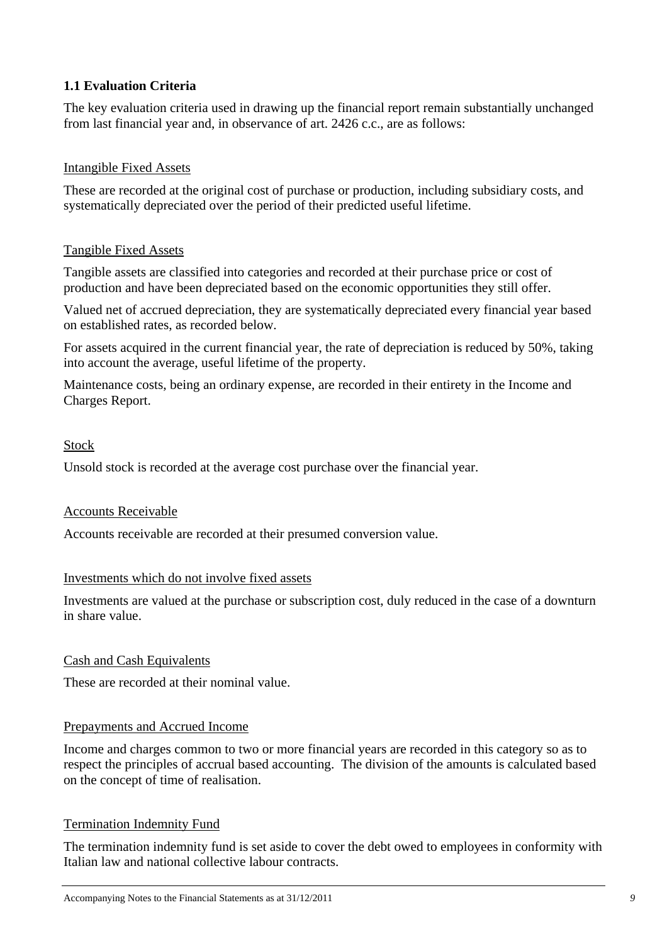#### **1.1 Evaluation Criteria**

The key evaluation criteria used in drawing up the financial report remain substantially unchanged from last financial year and, in observance of art. 2426 c.c., are as follows:

#### Intangible Fixed Assets

These are recorded at the original cost of purchase or production, including subsidiary costs, and systematically depreciated over the period of their predicted useful lifetime.

#### Tangible Fixed Assets

Tangible assets are classified into categories and recorded at their purchase price or cost of production and have been depreciated based on the economic opportunities they still offer.

Valued net of accrued depreciation, they are systematically depreciated every financial year based on established rates, as recorded below.

For assets acquired in the current financial year, the rate of depreciation is reduced by 50%, taking into account the average, useful lifetime of the property.

Maintenance costs, being an ordinary expense, are recorded in their entirety in the Income and Charges Report.

#### Stock

Unsold stock is recorded at the average cost purchase over the financial year.

#### Accounts Receivable

Accounts receivable are recorded at their presumed conversion value.

#### Investments which do not involve fixed assets

Investments are valued at the purchase or subscription cost, duly reduced in the case of a downturn in share value.

#### Cash and Cash Equivalents

These are recorded at their nominal value.

#### Prepayments and Accrued Income

Income and charges common to two or more financial years are recorded in this category so as to respect the principles of accrual based accounting. The division of the amounts is calculated based on the concept of time of realisation.

#### Termination Indemnity Fund

The termination indemnity fund is set aside to cover the debt owed to employees in conformity with Italian law and national collective labour contracts.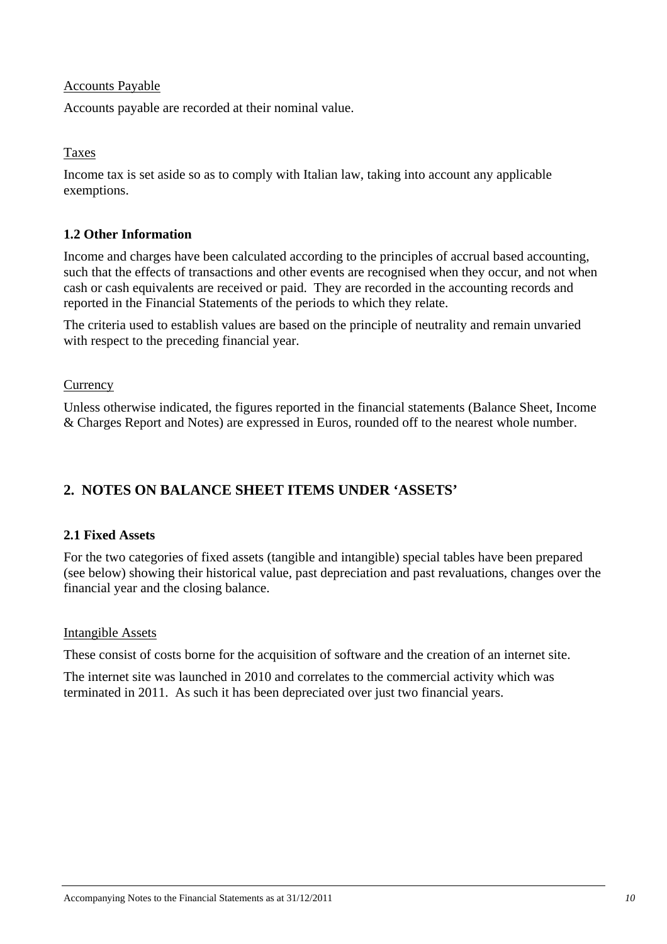#### Accounts Payable

Accounts payable are recorded at their nominal value.

Taxes

Income tax is set aside so as to comply with Italian law, taking into account any applicable exemptions.

#### **1.2 Other Information**

Income and charges have been calculated according to the principles of accrual based accounting, such that the effects of transactions and other events are recognised when they occur, and not when cash or cash equivalents are received or paid. They are recorded in the accounting records and reported in the Financial Statements of the periods to which they relate.

The criteria used to establish values are based on the principle of neutrality and remain unvaried with respect to the preceding financial year.

#### **Currency**

Unless otherwise indicated, the figures reported in the financial statements (Balance Sheet, Income & Charges Report and Notes) are expressed in Euros, rounded off to the nearest whole number.

## **2. NOTES ON BALANCE SHEET ITEMS UNDER 'ASSETS'**

#### **2.1 Fixed Assets**

For the two categories of fixed assets (tangible and intangible) special tables have been prepared (see below) showing their historical value, past depreciation and past revaluations, changes over the financial year and the closing balance.

#### Intangible Assets

These consist of costs borne for the acquisition of software and the creation of an internet site.

The internet site was launched in 2010 and correlates to the commercial activity which was terminated in 2011. As such it has been depreciated over just two financial years.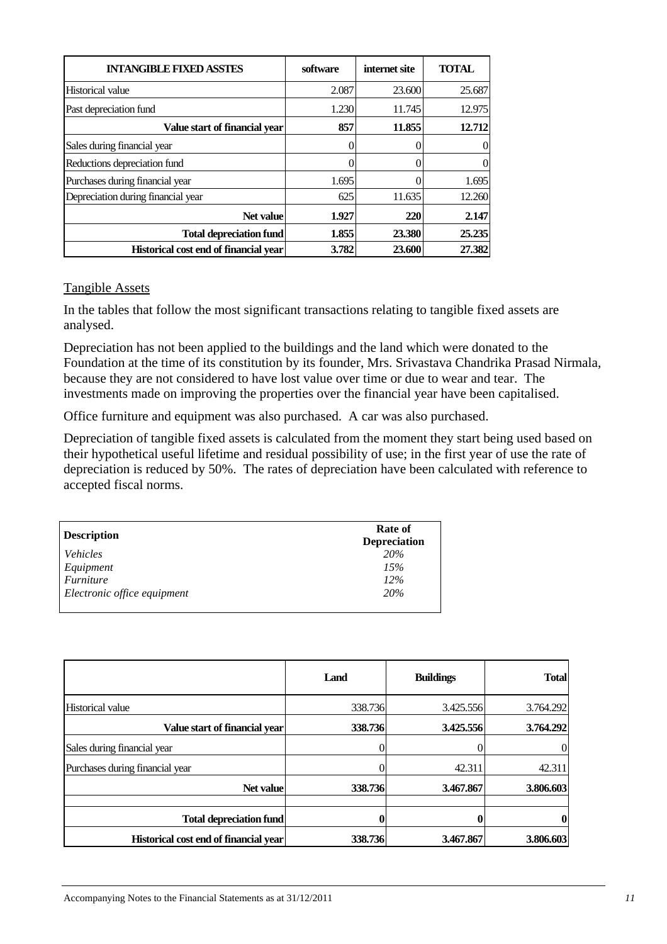| <b>INTANGIBLE FIXED ASSTES</b>        | software | internet site | <b>TOTAL</b> |
|---------------------------------------|----------|---------------|--------------|
| Historical value                      | 2.087    | 23.600        | 25.687       |
| Past depreciation fund                | 1.230    | 11.745        | 12.975       |
| Value start of financial year         | 857      | 11.855        | 12.712       |
| Sales during financial year           | 0        |               | $\Omega$     |
| Reductions depreciation fund          | 0        |               | $\theta$     |
| Purchases during financial year       | 1.695    |               | 1.695        |
| Depreciation during financial year    | 625      | 11.635        | 12.260       |
| Net value                             | 1.927    | 220           | 2.147        |
| <b>Total depreciation fund</b>        | 1.855    | 23.380        | 25.235       |
| Historical cost end of financial year | 3.782    | 23.600        | 27.382       |

#### Tangible Assets

In the tables that follow the most significant transactions relating to tangible fixed assets are analysed.

Depreciation has not been applied to the buildings and the land which were donated to the Foundation at the time of its constitution by its founder, Mrs. Srivastava Chandrika Prasad Nirmala, because they are not considered to have lost value over time or due to wear and tear. The investments made on improving the properties over the financial year have been capitalised.

Office furniture and equipment was also purchased. A car was also purchased.

Depreciation of tangible fixed assets is calculated from the moment they start being used based on their hypothetical useful lifetime and residual possibility of use; in the first year of use the rate of depreciation is reduced by 50%. The rates of depreciation have been calculated with reference to accepted fiscal norms.

| <b>Description</b>          | Rate of<br><b>Depreciation</b> |
|-----------------------------|--------------------------------|
| <i>Vehicles</i>             | <b>20%</b>                     |
| Equipment                   | 15%                            |
| <i>Furniture</i>            | 12%                            |
| Electronic office equipment | <b>20%</b>                     |

|                                       | Land    | <b>Buildings</b> | <b>Total</b> |
|---------------------------------------|---------|------------------|--------------|
| <b>Historical value</b>               | 338.736 | 3.425.556        | 3.764.292    |
| Value start of financial vear         | 338.736 | 3.425.556        | 3.764.292    |
| Sales during financial year           |         |                  |              |
| Purchases during financial year       |         | 42.311           | 42.311       |
| Net value                             | 338.736 | 3.467.867        | 3.806.603    |
| <b>Total depreciation fund</b>        |         |                  |              |
| Historical cost end of financial year | 338.736 | 3.467.867        | 3.806.603    |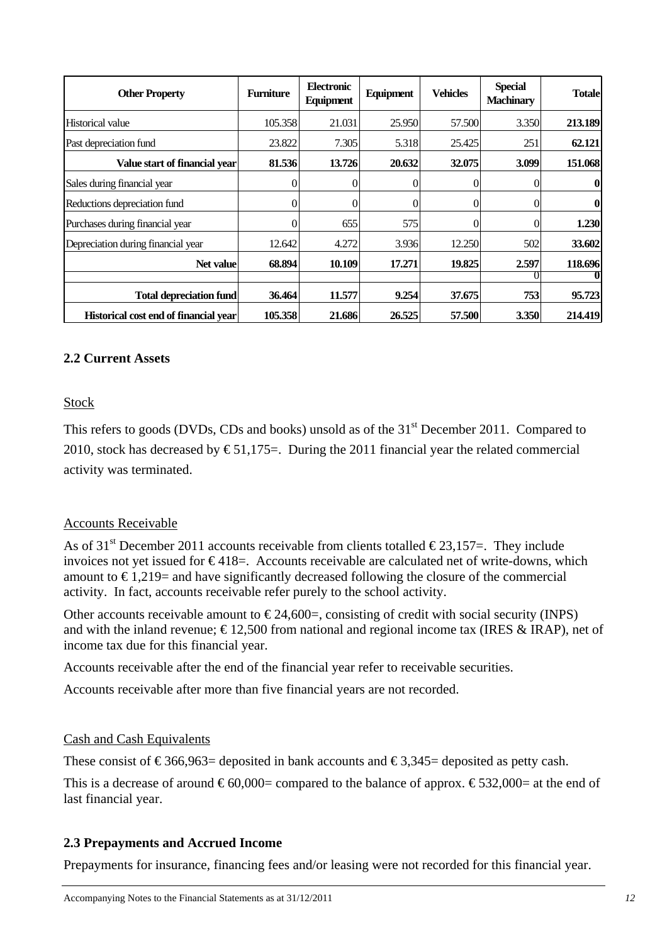| <b>Other Property</b>                 | <b>Furniture</b> | Electronic<br>Equipment | Equipment | <b>Vehicles</b> | <b>Special</b><br><b>Machinary</b> | <b>Totale</b> |
|---------------------------------------|------------------|-------------------------|-----------|-----------------|------------------------------------|---------------|
| Historical value                      | 105.358          | 21.031                  | 25.950    | 57.500          | 3.350                              | 213.189       |
| Past depreciation fund                | 23.822           | 7.305                   | 5.318     | 25.425          | 251                                | 62.121        |
| Value start of financial vear         | 81.536           | 13.726                  | 20.632    | 32,075          | 3.099                              | 151.068       |
| Sales during financial year           | 0                | 0                       |           |                 | $\mathbf{0}$                       |               |
| Reductions depreciation fund          | 0                | 0                       | 0         |                 | 0                                  | 0             |
| Purchases during financial year       | 0                | 655                     | 575       |                 | 0                                  | 1.230         |
| Depreciation during financial year    | 12.642           | 4.272                   | 3.936     | 12.250          | 502                                | 33.602        |
| Net value                             | 68.894           | 10.109                  | 17.271    | 19.825          | 2.597                              | 118.696       |
|                                       |                  |                         |           |                 |                                    |               |
| <b>Total depreciation fund</b>        | 36.464           | 11.577                  | 9.254     | 37.675          | 753                                | 95.723        |
| Historical cost end of financial year | 105.358          | 21.686                  | 26.525    | 57.500          | 3.350                              | 214.419       |

#### **2.2 Current Assets**

#### Stock

This refers to goods (DVDs, CDs and books) unsold as of the 31<sup>st</sup> December 2011. Compared to 2010, stock has decreased by  $\epsilon$ 51,175=. During the 2011 financial year the related commercial activity was terminated.

#### Accounts Receivable

As of 31<sup>st</sup> December 2011 accounts receivable from clients totalled  $\epsilon$ 23,157=. They include invoices not yet issued for  $\epsilon$ 418=. Accounts receivable are calculated net of write-downs, which amount to  $\epsilon$ 1,219= and have significantly decreased following the closure of the commercial activity. In fact, accounts receivable refer purely to the school activity.

Other accounts receivable amount to  $\epsilon$ 24,600=, consisting of credit with social security (INPS) and with the inland revenue;  $\epsilon$ 12,500 from national and regional income tax (IRES & IRAP), net of income tax due for this financial year.

Accounts receivable after the end of the financial year refer to receivable securities.

Accounts receivable after more than five financial years are not recorded.

#### Cash and Cash Equivalents

These consist of  $\text{\textsterling}366,963=$  deposited in bank accounts and  $\text{\textsterling}3,345=$  deposited as petty cash.

This is a decrease of around  $\epsilon$ 60,000= compared to the balance of approx.  $\epsilon$ 532,000= at the end of last financial year.

#### **2.3 Prepayments and Accrued Income**

Prepayments for insurance, financing fees and/or leasing were not recorded for this financial year.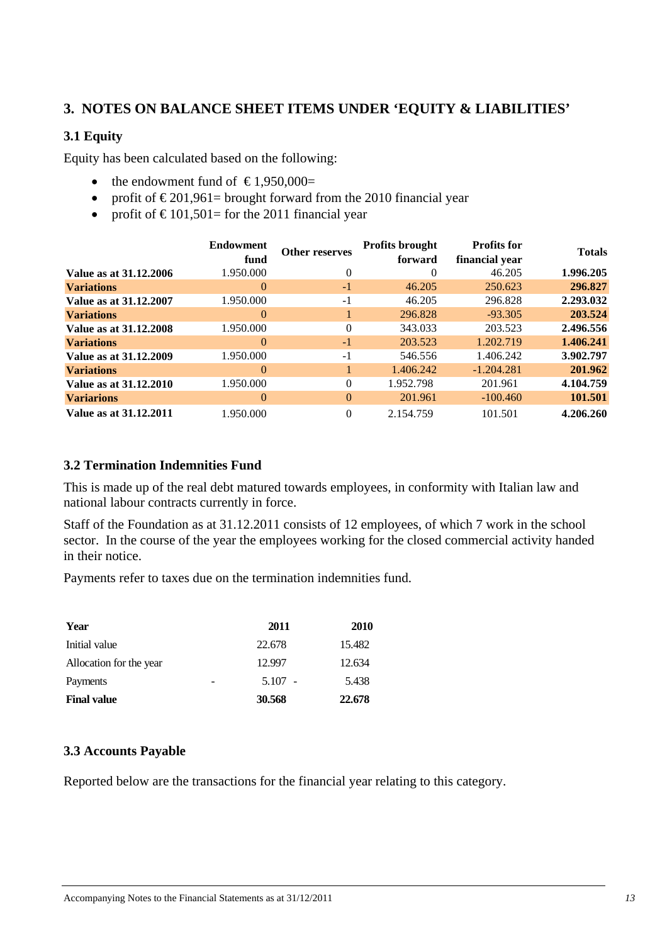## **3. NOTES ON BALANCE SHEET ITEMS UNDER 'EQUITY & LIABILITIES'**

#### **3.1 Equity**

Equity has been calculated based on the following:

- the endowment fund of  $\text{\textsterling}1.950,000=$
- profit of  $\epsilon$ 201,961= brought forward from the 2010 financial year
- profit of  $\text{\textsterling}101,501$  = for the 2011 financial year

|                        | <b>Endowment</b><br>fund | <b>Other reserves</b> | <b>Profits brought</b><br>forward | <b>Profits for</b><br>financial year | <b>Totals</b> |
|------------------------|--------------------------|-----------------------|-----------------------------------|--------------------------------------|---------------|
| Value as at 31.12.2006 | 1.950.000                | $\theta$              | $\Omega$                          | 46.205                               | 1.996.205     |
| <b>Variations</b>      | $\Omega$                 | $-1$                  | 46.205                            | 250.623                              | 296.827       |
| Value as at 31.12.2007 | 1.950.000                | $-1$                  | 46.205                            | 296.828                              | 2.293.032     |
| <b>Variations</b>      | $\Omega$                 |                       | 296.828                           | $-93.305$                            | 203.524       |
| Value as at 31.12.2008 | 1.950.000                | $\Omega$              | 343.033                           | 203.523                              | 2.496.556     |
| <b>Variations</b>      | $\Omega$                 | $-1$                  | 203.523                           | 1.202.719                            | 1.406.241     |
| Value as at 31.12.2009 | 1.950.000                | $-1$                  | 546.556                           | 1.406.242                            | 3.902.797     |
| <b>Variations</b>      | $\Omega$                 |                       | 1.406.242                         | $-1.204.281$                         | 201.962       |
| Value as at 31.12.2010 | 1.950.000                | $\Omega$              | 1.952.798                         | 201.961                              | 4.104.759     |
| <b>Variarions</b>      | $\Omega$                 | $\Omega$              | 201.961                           | $-100.460$                           | 101.501       |
| Value as at 31.12.2011 | 1.950.000                | $\Omega$              | 2.154.759                         | 101.501                              | 4.206.260     |

#### **3.2 Termination Indemnities Fund**

This is made up of the real debt matured towards employees, in conformity with Italian law and national labour contracts currently in force.

Staff of the Foundation as at 31.12.2011 consists of 12 employees, of which 7 work in the school sector. In the course of the year the employees working for the closed commercial activity handed in their notice.

Payments refer to taxes due on the termination indemnities fund.

| Year                    | 2011      | <b>2010</b> |
|-------------------------|-----------|-------------|
| Initial value           | 22.678    | 15.482      |
| Allocation for the year | 12.997    | 12.634      |
| Payments                | $5.107 -$ | 5.438       |
| <b>Final value</b>      | 30.568    | 22.678      |

#### **3.3 Accounts Payable**

Reported below are the transactions for the financial year relating to this category.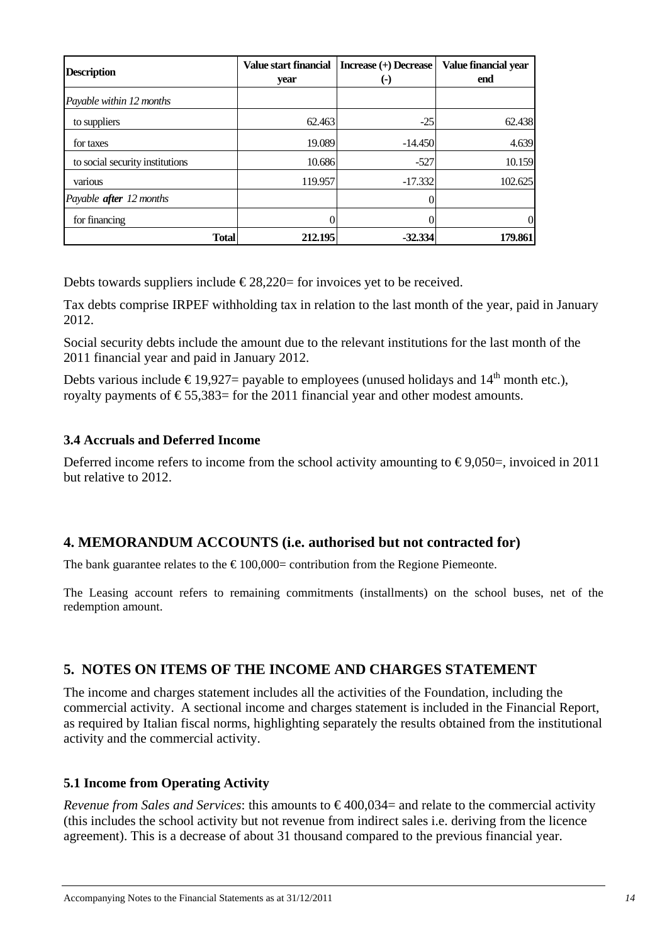| <b>Description</b>              | Value start financial<br>year | Increase (+) Decrease<br>(-) | Value financial year<br>end |
|---------------------------------|-------------------------------|------------------------------|-----------------------------|
| Payable within 12 months        |                               |                              |                             |
| to suppliers                    | 62.463                        | $-25$                        | 62.438                      |
| for taxes                       | 19.089                        | $-14.450$                    | 4.639                       |
| to social security institutions | 10.686                        | $-527$                       | 10.159                      |
| various                         | 119.957                       | $-17.332$                    | 102.625                     |
| Payable <b>after</b> 12 months  |                               |                              |                             |
| for financing                   |                               |                              | 0                           |
| Total                           | 212.195                       | $-32.334$                    | 179.861                     |

Debts towards suppliers include  $\epsilon$ 28,220= for invoices yet to be received.

Tax debts comprise IRPEF withholding tax in relation to the last month of the year, paid in January 2012.

Social security debts include the amount due to the relevant institutions for the last month of the 2011 financial year and paid in January 2012.

Debts various include  $\epsilon$ 19.927= payable to employees (unused holidays and 14<sup>th</sup> month etc.). royalty payments of  $\epsilon$ 55,383= for the 2011 financial year and other modest amounts.

#### **3.4 Accruals and Deferred Income**

Deferred income refers to income from the school activity amounting to  $\epsilon$ 9,050=, invoiced in 2011 but relative to 2012.

## **4. MEMORANDUM ACCOUNTS (i.e. authorised but not contracted for)**

The bank guarantee relates to the  $\epsilon$ 100,000= contribution from the Regione Piemeonte.

The Leasing account refers to remaining commitments (installments) on the school buses, net of the redemption amount.

## **5. NOTES ON ITEMS OF THE INCOME AND CHARGES STATEMENT**

The income and charges statement includes all the activities of the Foundation, including the commercial activity. A sectional income and charges statement is included in the Financial Report, as required by Italian fiscal norms, highlighting separately the results obtained from the institutional activity and the commercial activity.

#### **5.1 Income from Operating Activity**

*Revenue from Sales and Services*: this amounts to  $\epsilon$ 400,034= and relate to the commercial activity (this includes the school activity but not revenue from indirect sales i.e. deriving from the licence agreement). This is a decrease of about 31 thousand compared to the previous financial year.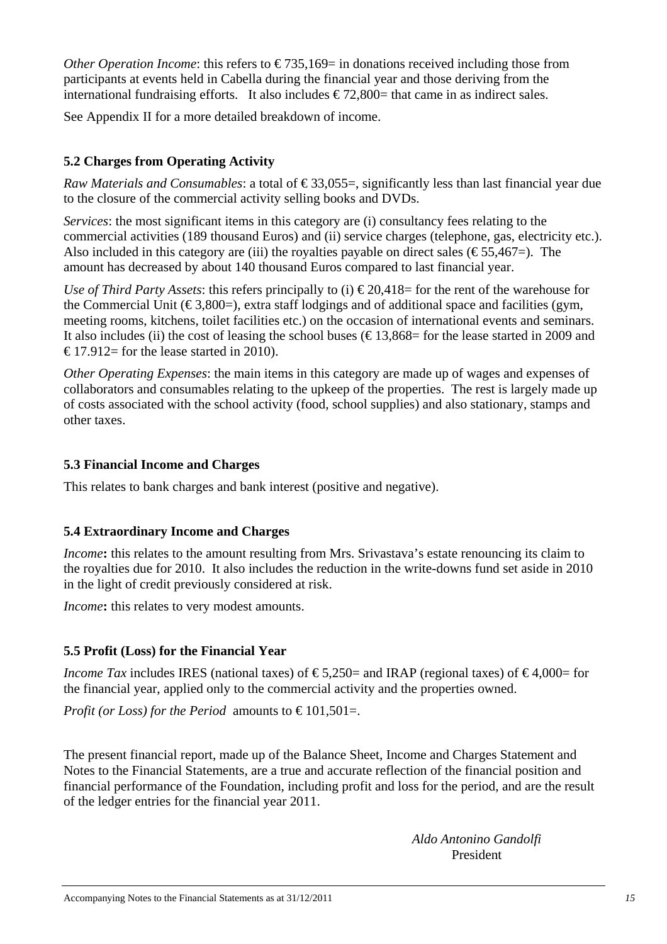*Other Operation Income*: this refers to  $\epsilon$ 735,169= in donations received including those from participants at events held in Cabella during the financial year and those deriving from the international fundraising efforts. It also includes  $\epsilon$ 72,800= that came in as indirect sales.

See Appendix II for a more detailed breakdown of income.

## **5.2 Charges from Operating Activity**

*Raw Materials and Consumables:* a total of  $\epsilon$ 33,055=, significantly less than last financial year due to the closure of the commercial activity selling books and DVDs.

*Services*: the most significant items in this category are (i) consultancy fees relating to the commercial activities (189 thousand Euros) and (ii) service charges (telephone, gas, electricity etc.). Also included in this category are (iii) the royalties payable on direct sales ( $\epsilon$ 55,467=). The amount has decreased by about 140 thousand Euros compared to last financial year.

*Use of Third Party Assets:* this refers principally to (i)  $\epsilon$  20,418 = for the rent of the warehouse for the Commercial Unit ( $\epsilon$ 3,800=), extra staff lodgings and of additional space and facilities (gym, meeting rooms, kitchens, toilet facilities etc.) on the occasion of international events and seminars. It also includes (ii) the cost of leasing the school buses ( $\text{\textsterling}13,868=$  for the lease started in 2009 and  $\text{\textsterling}17.912$  for the lease started in 2010).

*Other Operating Expenses*: the main items in this category are made up of wages and expenses of collaborators and consumables relating to the upkeep of the properties. The rest is largely made up of costs associated with the school activity (food, school supplies) and also stationary, stamps and other taxes.

## **5.3 Financial Income and Charges**

This relates to bank charges and bank interest (positive and negative).

## **5.4 Extraordinary Income and Charges**

*Income*: this relates to the amount resulting from Mrs. Srivastava's estate renouncing its claim to the royalties due for 2010. It also includes the reduction in the write-downs fund set aside in 2010 in the light of credit previously considered at risk.

*Income***:** this relates to very modest amounts.

## **5.5 Profit (Loss) for the Financial Year**

*Income Tax* includes IRES (national taxes) of  $\epsilon$ 5,250= and IRAP (regional taxes) of  $\epsilon$ 4,000= for the financial year, applied only to the commercial activity and the properties owned.

*Profit (or Loss) for the Period* amounts to  $\epsilon$ 101,501=.

The present financial report, made up of the Balance Sheet, Income and Charges Statement and Notes to the Financial Statements, are a true and accurate reflection of the financial position and financial performance of the Foundation, including profit and loss for the period, and are the result of the ledger entries for the financial year 2011.

*Aldo Antonino Gandolfi*  President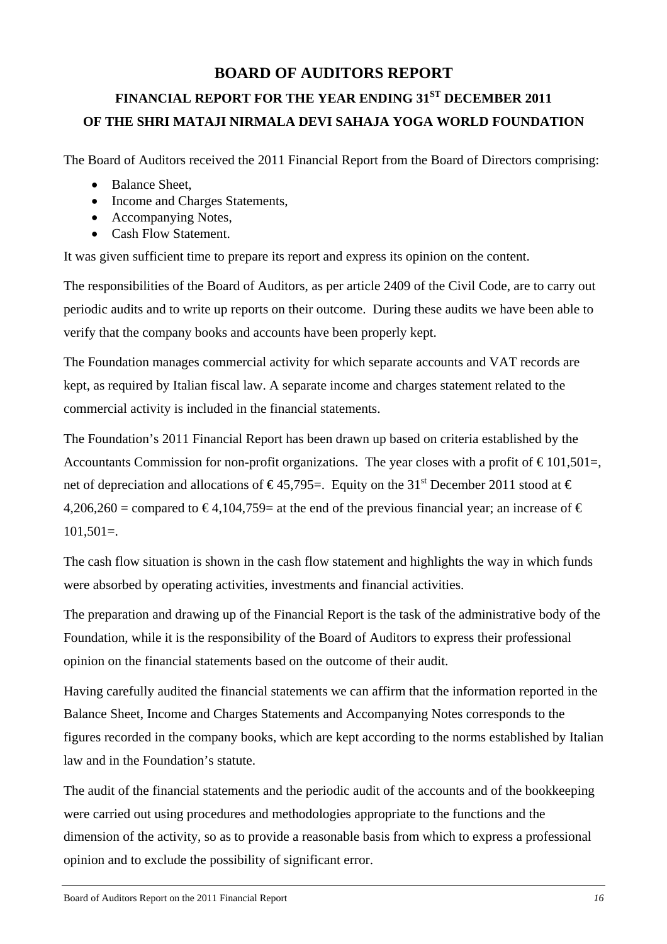## **BOARD OF AUDITORS REPORT**

# **FINANCIAL REPORT FOR THE YEAR ENDING 31ST DECEMBER 2011 OF THE SHRI MATAJI NIRMALA DEVI SAHAJA YOGA WORLD FOUNDATION**

The Board of Auditors received the 2011 Financial Report from the Board of Directors comprising:

- Balance Sheet,
- Income and Charges Statements,
- Accompanying Notes,
- Cash Flow Statement.

It was given sufficient time to prepare its report and express its opinion on the content.

The responsibilities of the Board of Auditors, as per article 2409 of the Civil Code, are to carry out periodic audits and to write up reports on their outcome. During these audits we have been able to verify that the company books and accounts have been properly kept.

The Foundation manages commercial activity for which separate accounts and VAT records are kept, as required by Italian fiscal law. A separate income and charges statement related to the commercial activity is included in the financial statements.

The Foundation's 2011 Financial Report has been drawn up based on criteria established by the Accountants Commission for non-profit organizations. The year closes with a profit of  $\epsilon$ 101,501=, net of depreciation and allocations of  $\epsilon$ 45,795=. Equity on the 31<sup>st</sup> December 2011 stood at  $\epsilon$  $4,206,260 =$  compared to  $\epsilon$ 4,104,759= at the end of the previous financial year; an increase of  $\epsilon$  $101,501=$ .

The cash flow situation is shown in the cash flow statement and highlights the way in which funds were absorbed by operating activities, investments and financial activities.

The preparation and drawing up of the Financial Report is the task of the administrative body of the Foundation, while it is the responsibility of the Board of Auditors to express their professional opinion on the financial statements based on the outcome of their audit.

Having carefully audited the financial statements we can affirm that the information reported in the Balance Sheet, Income and Charges Statements and Accompanying Notes corresponds to the figures recorded in the company books, which are kept according to the norms established by Italian law and in the Foundation's statute.

The audit of the financial statements and the periodic audit of the accounts and of the bookkeeping were carried out using procedures and methodologies appropriate to the functions and the dimension of the activity, so as to provide a reasonable basis from which to express a professional opinion and to exclude the possibility of significant error.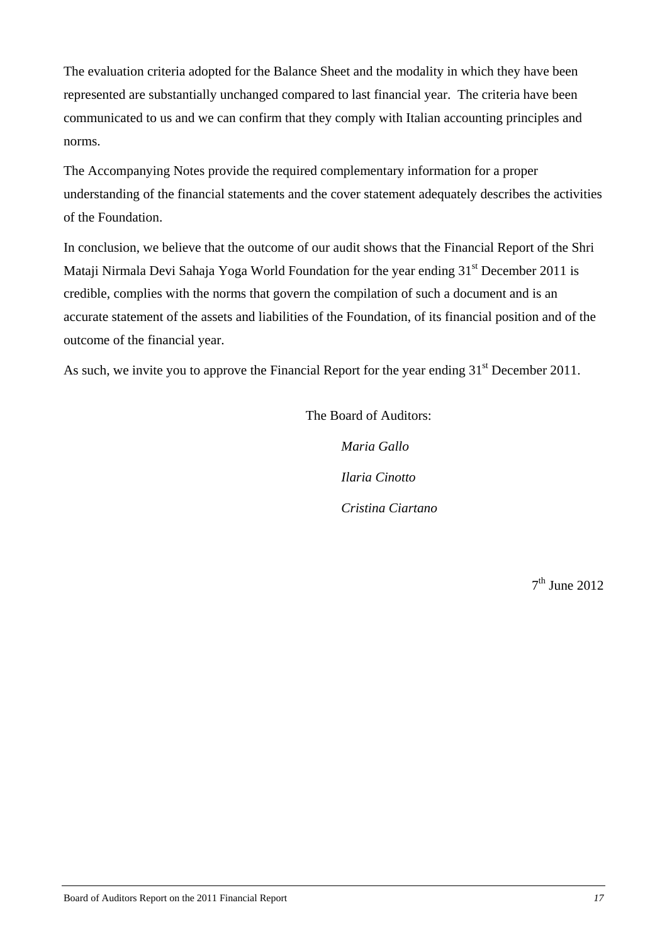The evaluation criteria adopted for the Balance Sheet and the modality in which they have been represented are substantially unchanged compared to last financial year. The criteria have been communicated to us and we can confirm that they comply with Italian accounting principles and norms.

The Accompanying Notes provide the required complementary information for a proper understanding of the financial statements and the cover statement adequately describes the activities of the Foundation.

In conclusion, we believe that the outcome of our audit shows that the Financial Report of the Shri Mataji Nirmala Devi Sahaja Yoga World Foundation for the year ending 31<sup>st</sup> December 2011 is credible, complies with the norms that govern the compilation of such a document and is an accurate statement of the assets and liabilities of the Foundation, of its financial position and of the outcome of the financial year.

As such, we invite you to approve the Financial Report for the year ending 31<sup>st</sup> December 2011.

The Board of Auditors:

*Maria Gallo Ilaria Cinotto Cristina Ciartano* 

 $7<sup>th</sup>$  June 2012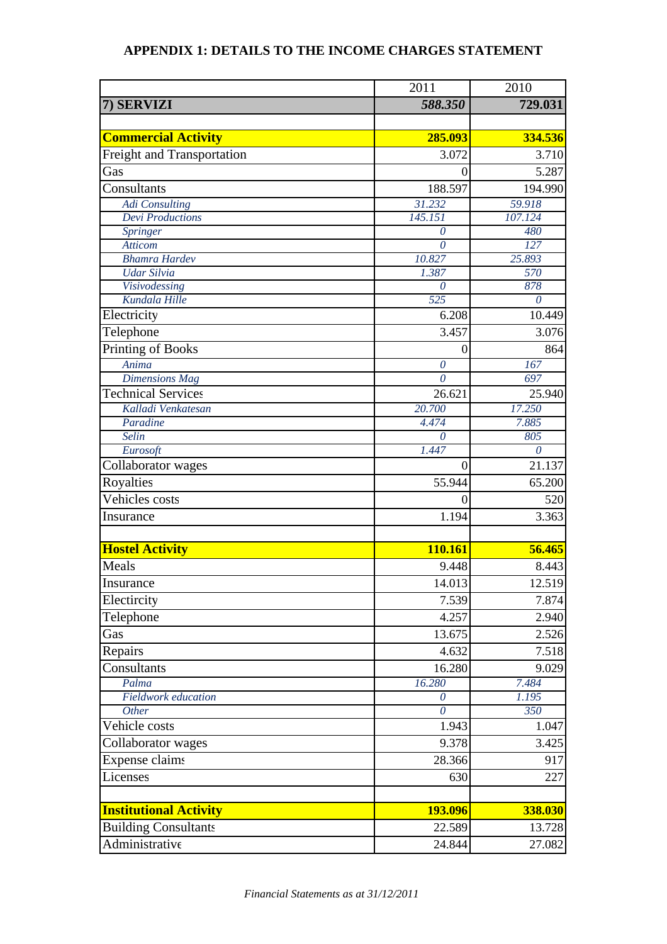## **APPENDIX 1: DETAILS TO THE INCOME CHARGES STATEMENT**

|                                     | 2011                | 2010         |
|-------------------------------------|---------------------|--------------|
| 7) SERVIZI                          | 588.350             | 729.031      |
|                                     |                     |              |
| <b>Commercial Activity</b>          | 285.093             | 334.536      |
| Freight and Transportation          | 3.072               | 3.710        |
| Gas                                 | $\theta$            | 5.287        |
| Consultants                         | 188.597             | 194.990      |
| <b>Adi</b> Consulting               | 31.232              | 59.918       |
| <b>Devi</b> Productions             | 145.151             | 107.124      |
| Springer                            | $\theta$            | 480          |
| <b>Atticom</b>                      | $\theta$            | 127          |
| <b>Bhamra Hardev</b>                | 10.827              | 25.893       |
| <b>Udar Silvia</b>                  | 1.387               | 570          |
| Visivodessing                       | $\theta$            | 878          |
| Kundala Hille                       | 525                 | 0            |
| Electricity                         | 6.208               | 10.449       |
| Telephone                           | 3.457               | 3.076        |
| Printing of Books                   | $\boldsymbol{0}$    | 864          |
| Anima                               | $\overline{\theta}$ | 167          |
| <b>Dimensions Mag</b>               | $\theta$            | 697          |
| <b>Technical Services</b>           | 26.621              | 25.940       |
| Kalladi Venkatesan                  | 20.700              | 17.250       |
| Paradine                            | 4.474               | 7.885        |
| <b>Selin</b>                        | $\theta$            | 805          |
| Eurosoft                            | 1.447               | $\theta$     |
| Collaborator wages                  | $\overline{0}$      | 21.137       |
| Royalties                           | 55.944              | 65.200       |
| Vehicles costs                      | $\boldsymbol{0}$    | 520          |
| Insurance                           | 1.194               | 3.363        |
|                                     |                     |              |
| <b>Hostel Activity</b>              | 110.161             | 56.465       |
| Meals                               | 9.448               | 8.443        |
| Insurance                           | 14.013              | 12.519       |
| Electircity                         | 7.539               | 7.874        |
| Telephone                           | 4.257               | 2.940        |
| Gas                                 | 13.675              | 2.526        |
|                                     |                     |              |
| Repairs                             | 4.632               | 7.518        |
| Consultants                         | 16.280              | 9.029        |
| Palma<br><b>Fieldwork</b> education | 16.280              | 7.484        |
| <b>Other</b>                        | 0<br>$\theta$       | 1.195<br>350 |
| Vehicle costs                       | 1.943               | 1.047        |
|                                     |                     |              |
| Collaborator wages                  | 9.378               | 3.425        |
| Expense claims                      | 28.366              | 917          |
| Licenses                            | 630                 | 227          |
|                                     |                     |              |
| <b>Institutional Activity</b>       | 193.096             | 338.030      |
| <b>Building Consultants</b>         | 22.589              | 13.728       |
| Administrative                      | 24.844              | 27.082       |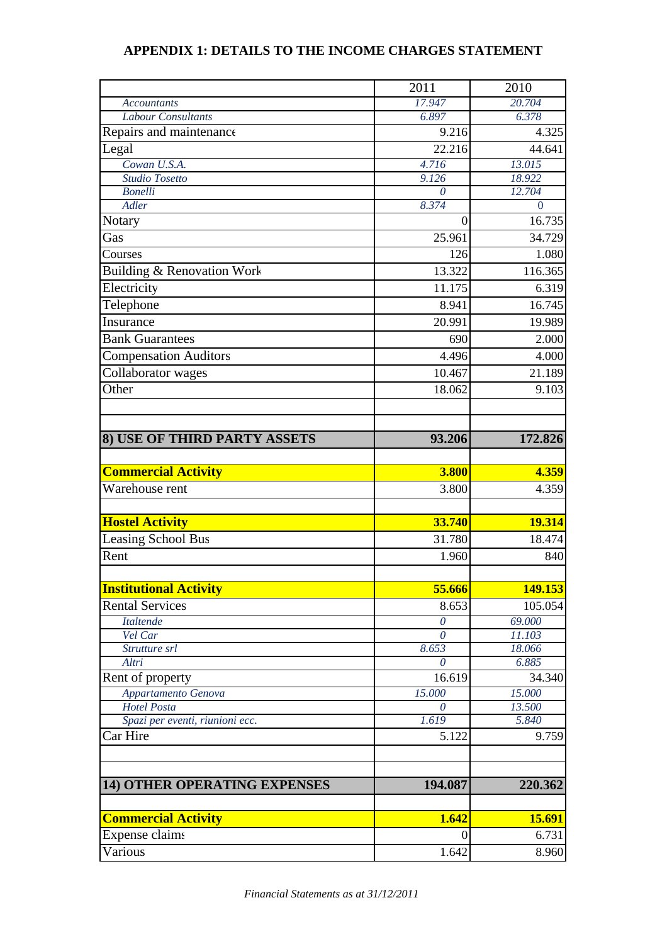## **APPENDIX 1: DETAILS TO THE INCOME CHARGES STATEMENT**

|                                       | 2011                 | 2010              |
|---------------------------------------|----------------------|-------------------|
| <b>Accountants</b>                    | 17.947               | 20.704            |
| <b>Labour Consultants</b>             | 6.897                | 6.378             |
| Repairs and maintenance               | 9.216                | 4.325             |
| Legal                                 | 22.216               | 44.641            |
| Cowan U.S.A.                          | 4.716                | 13.015            |
| <b>Studio Tosetto</b>                 | 9.126                | 18.922            |
| <b>Bonelli</b>                        | $\theta$             | 12.704            |
| <b>Adler</b>                          | 8.374                | $\theta$          |
| Notary                                | $\theta$             | 16.735            |
| Gas                                   | 25.961               | 34.729            |
| Courses                               | 126                  | 1.080             |
| <b>Building &amp; Renovation Work</b> | 13.322               | 116.365           |
| Electricity                           | 11.175               | 6.319             |
| Telephone                             | 8.941                | 16.745            |
| Insurance                             | 20.991               | 19.989            |
| <b>Bank</b> Guarantees                | 690                  | 2.000             |
| <b>Compensation Auditors</b>          | 4.496                | 4.000             |
| Collaborator wages                    | 10.467               | 21.189            |
| Other                                 | 18.062               | 9.103             |
|                                       |                      |                   |
|                                       |                      |                   |
| 8) USE OF THIRD PARTY ASSETS          | 93.206               | 172.826           |
|                                       |                      |                   |
| <b>Commercial Activity</b>            | 3.800                | 4.359             |
| Warehouse rent                        | 3.800                | 4.359             |
|                                       |                      |                   |
| <b>Hostel Activity</b>                | 33.740               | 19.314            |
| <b>Leasing School Bus</b>             | 31.780               | 18.474            |
| Rent                                  | 1.960                | 840               |
|                                       |                      |                   |
|                                       |                      |                   |
| <b>Institutional Activity</b>         | 55.666               | 149.153           |
| <b>Rental Services</b>                | 8.653                | 105.054<br>69.000 |
| <b>Italtende</b><br>Vel Car           | $\theta$<br>$\theta$ | 11.103            |
| Strutture srl                         | 8.653                | 18.066            |
| Altri                                 | 0                    | 6.885             |
| Rent of property                      | 16.619               | 34.340            |
| Appartamento Genova                   | 15.000               | 15.000            |
| <b>Hotel Posta</b>                    | $\theta$             | 13.500            |
| Spazi per eventi, riunioni ecc.       | 1.619                | 5.840             |
| Car Hire                              | 5.122                | 9.759             |
|                                       |                      |                   |
|                                       |                      |                   |
| <b>14) OTHER OPERATING EXPENSES</b>   | 194.087              | 220.362           |
| <b>Commercial Activity</b>            | 1.642                | 15.691            |
| Expense claims                        | $\theta$             | 6.731             |
|                                       |                      |                   |
| Various                               | 1.642                | 8.960             |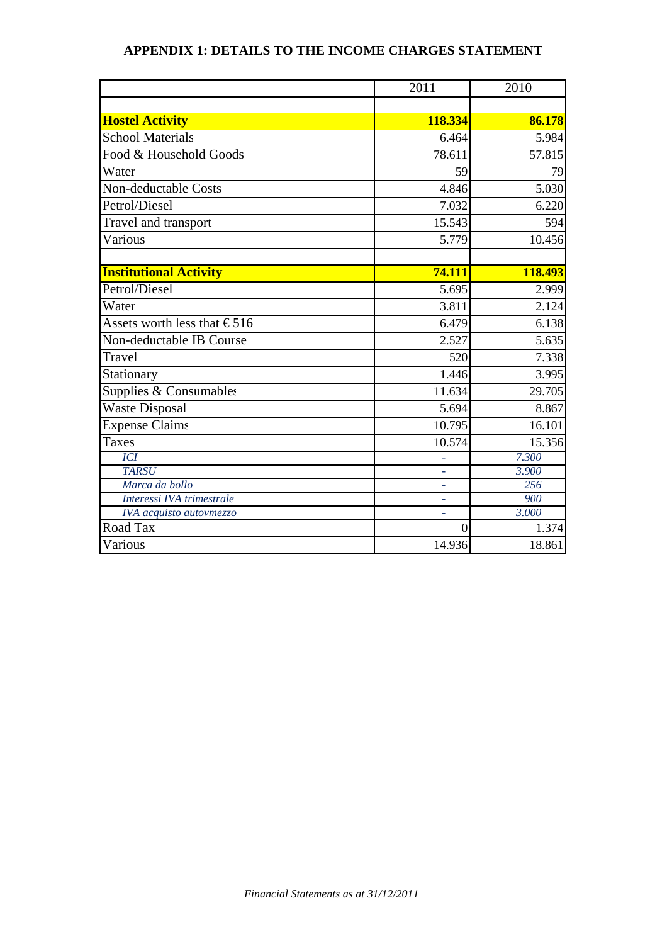## **APPENDIX 1: DETAILS TO THE INCOME CHARGES STATEMENT**

|                                       | 2011                     | 2010    |
|---------------------------------------|--------------------------|---------|
|                                       |                          |         |
| <b>Hostel Activity</b>                | 118.334                  | 86.178  |
| <b>School Materials</b>               | 6.464                    | 5.984   |
| Food & Household Goods                | 78.611                   | 57.815  |
| Water                                 | 59                       | 79      |
| Non-deductable Costs                  | 4.846                    | 5.030   |
| Petrol/Diesel                         | 7.032                    | 6.220   |
| Travel and transport                  | 15.543                   | 594     |
| Various                               | 5.779                    | 10.456  |
| <b>Institutional Activity</b>         | 74.111                   | 118.493 |
| Petrol/Diesel                         | 5.695                    | 2.999   |
|                                       |                          |         |
| Water                                 | 3.811                    | 2.124   |
| Assets worth less that $\epsilon$ 516 | 6.479                    | 6.138   |
| Non-deductable IB Course              | 2.527                    | 5.635   |
| Travel                                | 520                      | 7.338   |
| Stationary                            | 1.446                    | 3.995   |
| Supplies & Consumables                | 11.634                   | 29.705  |
| <b>Waste Disposal</b>                 | 5.694                    | 8.867   |
| <b>Expense Claims</b>                 | 10.795                   | 16.101  |
| <b>Taxes</b>                          | 10.574                   | 15.356  |
| <b>ICI</b>                            |                          | 7.300   |
| <b>TARSU</b>                          |                          | 3.900   |
| Marca da bollo                        | $\overline{\phantom{a}}$ | 256     |
| Interessi IVA trimestrale             | ä,                       | 900     |
| IVA acquisto autovmezzo               |                          | 3.000   |
| Road Tax                              | $\theta$                 | 1.374   |
| Various                               | 14.936                   | 18.861  |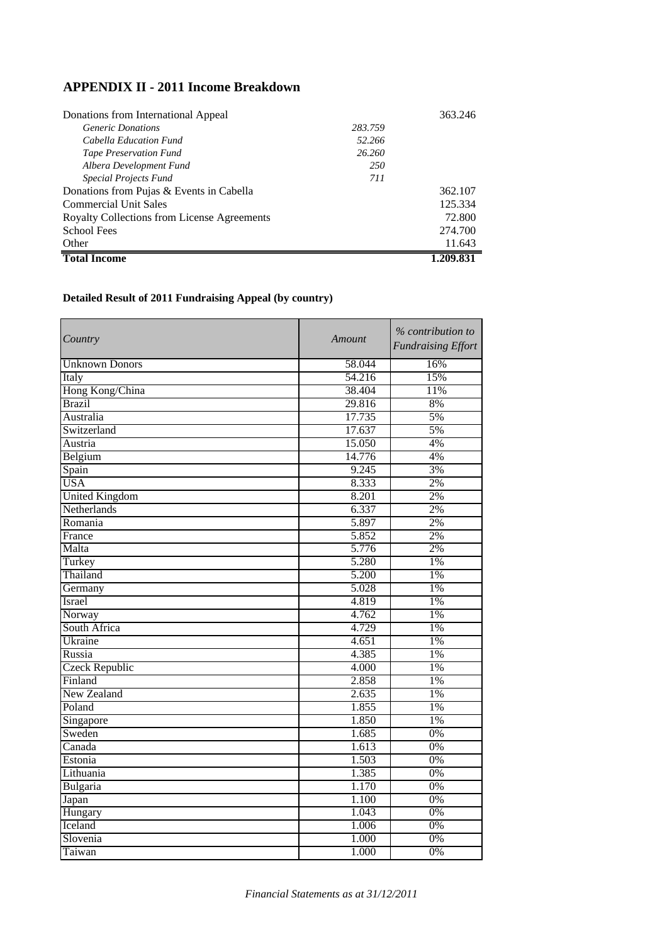## **APPENDIX II - 2011 Income Breakdown**

| Donations from International Appeal         |         | 363.246   |
|---------------------------------------------|---------|-----------|
| <i>Generic Donations</i>                    | 283.759 |           |
| Cabella Education Fund                      | 52.266  |           |
| <b>Tape Preservation Fund</b>               | 26.260  |           |
| Albera Development Fund                     | 250     |           |
| Special Projects Fund                       | 711     |           |
| Donations from Pujas & Events in Cabella    |         | 362.107   |
| <b>Commercial Unit Sales</b>                |         | 125.334   |
| Royalty Collections from License Agreements |         | 72.800    |
| School Fees                                 |         | 274.700   |
| Other                                       |         | 11.643    |
| <b>Total Income</b>                         |         | 1.209.831 |

## **Detailed Result of 2011 Fundraising Appeal (by country)**

| Country               | Amount | % contribution to<br><b>Fundraising Effort</b> |
|-----------------------|--------|------------------------------------------------|
| <b>Unknown Donors</b> | 58.044 | 16%                                            |
| Italy                 | 54.216 | 15%                                            |
| Hong Kong/China       | 38.404 | 11%                                            |
| <b>Brazil</b>         | 29.816 | 8%                                             |
| Australia             | 17.735 | 5%                                             |
| Switzerland           | 17.637 | 5%                                             |
| Austria               | 15.050 | 4%                                             |
| Belgium               | 14.776 | 4%                                             |
| Spain                 | 9.245  | 3%                                             |
| <b>USA</b>            | 8.333  | 2%                                             |
| <b>United Kingdom</b> | 8.201  | 2%                                             |
| Netherlands           | 6.337  | 2%                                             |
| Romania               | 5.897  | 2%                                             |
| France                | 5.852  | 2%                                             |
| Malta                 | 5.776  | 2%                                             |
| Turkey                | 5.280  | 1%                                             |
| Thailand              | 5.200  | 1%                                             |
| Germany               | 5.028  | 1%                                             |
| Israel                | 4.819  | 1%                                             |
| Norway                | 4.762  | 1%                                             |
| South Africa          | 4.729  | 1%                                             |
| Ukraine               | 4.651  | 1%                                             |
| Russia                | 4.385  | 1%                                             |
| <b>Czeck Republic</b> | 4.000  | 1%                                             |
| Finland               | 2.858  | 1%                                             |
| <b>New Zealand</b>    | 2.635  | 1%                                             |
| Poland                | 1.855  | $1\%$                                          |
| Singapore             | 1.850  | 1%                                             |
| Sweden                | 1.685  | 0%                                             |
| Canada                | 1.613  | 0%                                             |
| Estonia               | 1.503  | 0%                                             |
| Lithuania             | 1.385  | 0%                                             |
| Bulgaria              | 1.170  | 0%                                             |
| Japan                 | 1.100  | 0%                                             |
| Hungary               | 1.043  | 0%                                             |
| Iceland               | 1.006  | 0%                                             |
| Slovenia              | 1.000  | 0%                                             |
| Taiwan                | 1.000  | 0%                                             |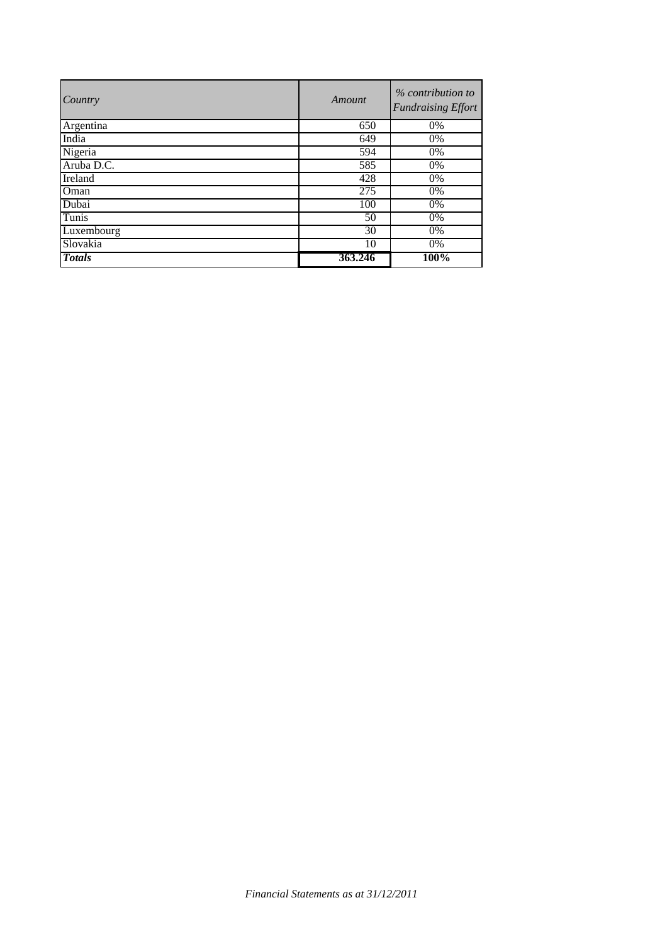| Country       | Amount  | % contribution to<br><b>Fundraising Effort</b> |
|---------------|---------|------------------------------------------------|
| Argentina     | 650     | 0%                                             |
| India         | 649     | 0%                                             |
| Nigeria       | 594     | 0%                                             |
| Aruba D.C.    | 585     | 0%                                             |
| Ireland       | 428     | 0%                                             |
| Oman          | 275     | 0%                                             |
| Dubai         | 100     | 0%                                             |
| Tunis         | 50      | $0\%$                                          |
| Luxembourg    | 30      | 0%                                             |
| Slovakia      | 10      | 0%                                             |
| <b>Totals</b> | 363.246 | 100%                                           |